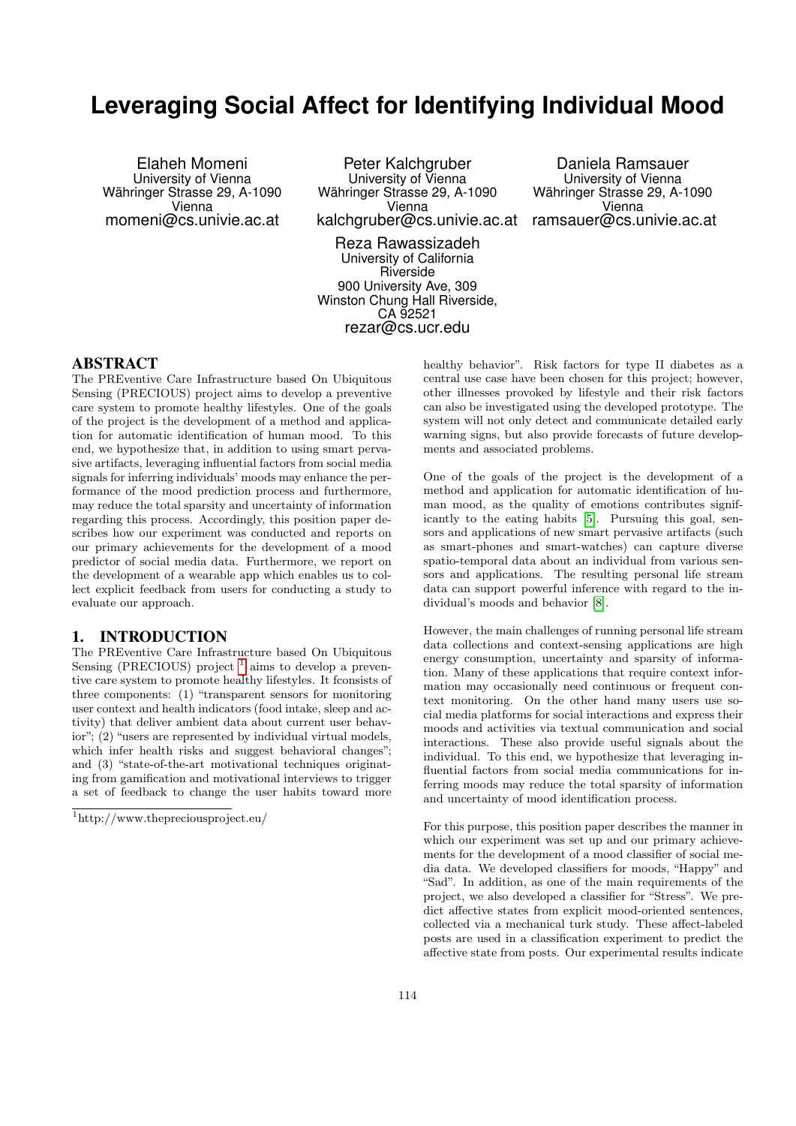# **Leveraging Social Affect for Identifying Individual Mood**

Elaheh Momeni University of Vienna Währinger Strasse 29, A-1090 Vienna momeni@cs.univie.ac.at

Peter Kalchgruber University of Vienna Währinger Strasse 29, A-1090 Vienna kalchgruber@cs.univie.ac.at

Reza Rawassizadeh University of California Riverside 900 University Ave, 309 Winston Chung Hall Riverside, CA 92521 rezar@cs.ucr.edu

Daniela Ramsauer University of Vienna Währinger Strasse 29, A-1090 Vienna ramsauer@cs.univie.ac.at

### ABSTRACT

The PREventive Care Infrastructure based On Ubiquitous Sensing (PRECIOUS) project aims to develop a preventive care system to promote healthy lifestyles. One of the goals of the project is the development of a method and application for automatic identification of human mood. To this end, we hypothesize that, in addition to using smart pervasive artifacts, leveraging influential factors from social media signals for inferring individuals' moods may enhance the performance of the mood prediction process and furthermore, may reduce the total sparsity and uncertainty of information regarding this process. Accordingly, this position paper describes how our experiment was conducted and reports on our primary achievements for the development of a mood predictor of social media data. Furthermore, we report on the development of a wearable app which enables us to collect explicit feedback from users for conducting a study to evaluate our approach.

# 1. INTRODUCTION

The PREventive Care Infrastructure based On Ubiquitous Sensing (PRECIOUS) project  $<sup>1</sup>$  $<sup>1</sup>$  $<sup>1</sup>$  aims to develop a preven-</sup> tive care system to promote healthy lifestyles. It fconsists of three components: (1) "transparent sensors for monitoring user context and health indicators (food intake, sleep and activity) that deliver ambient data about current user behavior"; (2) "users are represented by individual virtual models, which infer health risks and suggest behavioral changes"; and (3) "state-of-the-art motivational techniques originating from gamification and motivational interviews to trigger a set of feedback to change the user habits toward more

healthy behavior". Risk factors for type II diabetes as a central use case have been chosen for this project; however, other illnesses provoked by lifestyle and their risk factors can also be investigated using the developed prototype. The system will not only detect and communicate detailed early warning signs, but also provide forecasts of future developments and associated problems.

One of the goals of the project is the development of a method and application for automatic identification of human mood, as the quality of emotions contributes significantly to the eating habits [\[5\]](#page-3-0). Pursuing this goal, sensors and applications of new smart pervasive artifacts (such as smart-phones and smart-watches) can capture diverse spatio-temporal data about an individual from various sensors and applications. The resulting personal life stream data can support powerful inference with regard to the individual's moods and behavior [\[8\]](#page-3-1).

However, the main challenges of running personal life stream data collections and context-sensing applications are high energy consumption, uncertainty and sparsity of information. Many of these applications that require context information may occasionally need continuous or frequent context monitoring. On the other hand many users use social media platforms for social interactions and express their moods and activities via textual communication and social interactions. These also provide useful signals about the individual. To this end, we hypothesize that leveraging influential factors from social media communications for inferring moods may reduce the total sparsity of information and uncertainty of mood identification process.

For this purpose, this position paper describes the manner in which our experiment was set up and our primary achievements for the development of a mood classifier of social media data. We developed classifiers for moods, "Happy" and "Sad". In addition, as one of the main requirements of the project, we also developed a classifier for "Stress". We predict affective states from explicit mood-oriented sentences, collected via a mechanical turk study. These affect-labeled posts are used in a classification experiment to predict the affective state from posts. Our experimental results indicate

<span id="page-0-0"></span><sup>1</sup>http://www.thepreciousproject.eu/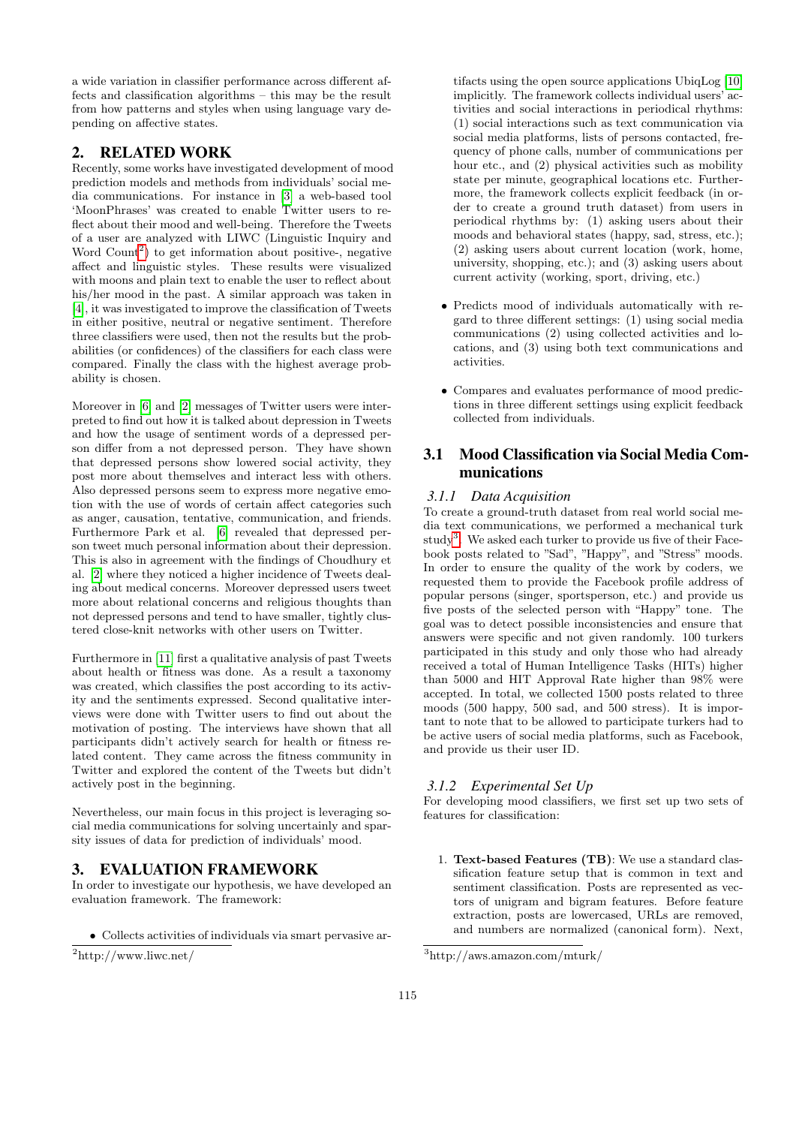a wide variation in classifier performance across different affects and classification algorithms – this may be the result from how patterns and styles when using language vary depending on affective states.

## 2. RELATED WORK

Recently, some works have investigated development of mood prediction models and methods from individuals' social media communications. For instance in [\[3\]](#page-3-2) a web-based tool 'MoonPhrases' was created to enable Twitter users to reflect about their mood and well-being. Therefore the Tweets of a user are analyzed with LIWC (Linguistic Inquiry and Word Count<sup>[2](#page-1-0)</sup>) to get information about positive-, negative affect and linguistic styles. These results were visualized with moons and plain text to enable the user to reflect about his/her mood in the past. A similar approach was taken in [\[4\]](#page-3-3), it was investigated to improve the classification of Tweets in either positive, neutral or negative sentiment. Therefore three classifiers were used, then not the results but the probabilities (or confidences) of the classifiers for each class were compared. Finally the class with the highest average probability is chosen.

Moreover in [\[6\]](#page-3-4) and [\[2\]](#page-3-5) messages of Twitter users were interpreted to find out how it is talked about depression in Tweets and how the usage of sentiment words of a depressed person differ from a not depressed person. They have shown that depressed persons show lowered social activity, they post more about themselves and interact less with others. Also depressed persons seem to express more negative emotion with the use of words of certain affect categories such as anger, causation, tentative, communication, and friends. Furthermore Park et al. [\[6\]](#page-3-4) revealed that depressed person tweet much personal information about their depression. This is also in agreement with the findings of Choudhury et al. [\[2\]](#page-3-5) where they noticed a higher incidence of Tweets dealing about medical concerns. Moreover depressed users tweet more about relational concerns and religious thoughts than not depressed persons and tend to have smaller, tightly clustered close-knit networks with other users on Twitter.

Furthermore in [\[11\]](#page-3-6) first a qualitative analysis of past Tweets about health or fitness was done. As a result a taxonomy was created, which classifies the post according to its activity and the sentiments expressed. Second qualitative interviews were done with Twitter users to find out about the motivation of posting. The interviews have shown that all participants didn't actively search for health or fitness related content. They came across the fitness community in Twitter and explored the content of the Tweets but didn't actively post in the beginning.

Nevertheless, our main focus in this project is leveraging social media communications for solving uncertainly and sparsity issues of data for prediction of individuals' mood.

## 3. EVALUATION FRAMEWORK

In order to investigate our hypothesis, we have developed an evaluation framework. The framework:

• Collects activities of individuals via smart pervasive ar-

tifacts using the open source applications UbiqLog [\[10\]](#page-3-7) implicitly. The framework collects individual users' activities and social interactions in periodical rhythms: (1) social interactions such as text communication via social media platforms, lists of persons contacted, frequency of phone calls, number of communications per hour etc., and  $(2)$  physical activities such as mobility state per minute, geographical locations etc. Furthermore, the framework collects explicit feedback (in order to create a ground truth dataset) from users in periodical rhythms by: (1) asking users about their moods and behavioral states (happy, sad, stress, etc.); (2) asking users about current location (work, home, university, shopping, etc.); and (3) asking users about current activity (working, sport, driving, etc.)

- Predicts mood of individuals automatically with regard to three different settings: (1) using social media communications (2) using collected activities and locations, and (3) using both text communications and activities.
- Compares and evaluates performance of mood predictions in three different settings using explicit feedback collected from individuals.

# 3.1 Mood Classification via Social Media Communications

## *3.1.1 Data Acquisition*

To create a ground-truth dataset from real world social media text communications, we performed a mechanical turk study<sup>[3](#page-1-1)</sup>. We asked each turker to provide us five of their Facebook posts related to "Sad", "Happy", and "Stress" moods. In order to ensure the quality of the work by coders, we requested them to provide the Facebook profile address of popular persons (singer, sportsperson, etc.) and provide us five posts of the selected person with "Happy" tone. The goal was to detect possible inconsistencies and ensure that answers were specific and not given randomly. 100 turkers participated in this study and only those who had already received a total of Human Intelligence Tasks (HITs) higher than 5000 and HIT Approval Rate higher than 98% were accepted. In total, we collected 1500 posts related to three moods (500 happy, 500 sad, and 500 stress). It is important to note that to be allowed to participate turkers had to be active users of social media platforms, such as Facebook, and provide us their user ID.

#### *3.1.2 Experimental Set Up*

For developing mood classifiers, we first set up two sets of features for classification:

1. Text-based Features (TB): We use a standard classification feature setup that is common in text and sentiment classification. Posts are represented as vectors of unigram and bigram features. Before feature extraction, posts are lowercased, URLs are removed, and numbers are normalized (canonical form). Next,

<span id="page-1-0"></span> $^{2}$ http://www.liwc.net/

<span id="page-1-1"></span><sup>3</sup>http://aws.amazon.com/mturk/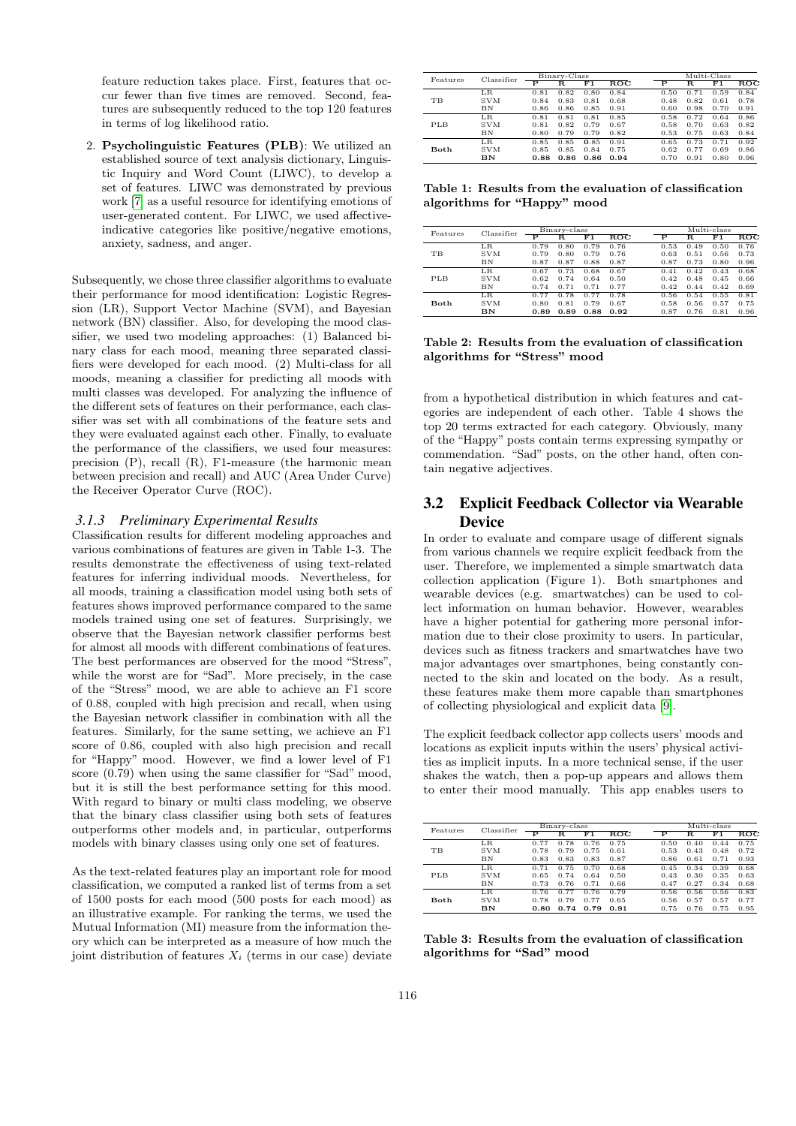feature reduction takes place. First, features that occur fewer than five times are removed. Second, features are subsequently reduced to the top 120 features in terms of log likelihood ratio.

2. Psycholinguistic Features (PLB): We utilized an established source of text analysis dictionary, Linguistic Inquiry and Word Count (LIWC), to develop a set of features. LIWC was demonstrated by previous work [\[7\]](#page-3-8) as a useful resource for identifying emotions of user-generated content. For LIWC, we used affectiveindicative categories like positive/negative emotions, anxiety, sadness, and anger.

Subsequently, we chose three classifier algorithms to evaluate their performance for mood identification: Logistic Regression (LR), Support Vector Machine (SVM), and Bayesian network (BN) classifier. Also, for developing the mood classifier, we used two modeling approaches: (1) Balanced binary class for each mood, meaning three separated classifiers were developed for each mood. (2) Multi-class for all moods, meaning a classifier for predicting all moods with multi classes was developed. For analyzing the influence of the different sets of features on their performance, each classifier was set with all combinations of the feature sets and they were evaluated against each other. Finally, to evaluate the performance of the classifiers, we used four measures: precision (P), recall (R), F1-measure (the harmonic mean between precision and recall) and AUC (Area Under Curve) the Receiver Operator Curve (ROC).

#### *3.1.3 Preliminary Experimental Results*

Classification results for different modeling approaches and various combinations of features are given in Table 1-3. The results demonstrate the effectiveness of using text-related features for inferring individual moods. Nevertheless, for all moods, training a classification model using both sets of features shows improved performance compared to the same models trained using one set of features. Surprisingly, we observe that the Bayesian network classifier performs best for almost all moods with different combinations of features. The best performances are observed for the mood "Stress", while the worst are for "Sad". More precisely, in the case of the "Stress" mood, we are able to achieve an F1 score of 0.88, coupled with high precision and recall, when using the Bayesian network classifier in combination with all the features. Similarly, for the same setting, we achieve an F1 score of 0.86, coupled with also high precision and recall for "Happy" mood. However, we find a lower level of F1 score (0.79) when using the same classifier for "Sad" mood, but it is still the best performance setting for this mood. With regard to binary or multi class modeling, we observe that the binary class classifier using both sets of features outperforms other models and, in particular, outperforms models with binary classes using only one set of features.

As the text-related features play an important role for mood classification, we computed a ranked list of terms from a set of 1500 posts for each mood (500 posts for each mood) as an illustrative example. For ranking the terms, we used the Mutual Information (MI) measure from the information theory which can be interpreted as a measure of how much the joint distribution of features  $X_i$  (terms in our case) deviate

| Features | Classifier | Binary-Class |      |      |              | Multi-Class |      |      |      |
|----------|------------|--------------|------|------|--------------|-------------|------|------|------|
|          |            | Р            | R.   | F1   | $_{\rm ROC}$ | Р           | R.   | F1   | ROC  |
| TB       | $_{LR}$    | 0.81         | 0.82 | 0.80 | 0.84         | 0.50        | 0.71 | 0.59 | 0.84 |
|          | <b>SVM</b> | 0.84         | 0.83 | 0.81 | 0.68         | 0.48        | 0.82 | 0.61 | 0.78 |
|          | BN         | 0.86         | 0.86 | 0.85 | 0.91         | 0.60        | 0.98 | 0.70 | 0.91 |
| PLB      | $_{LR}$    | 0.81         | 0.81 | 0.81 | 0.85         | 0.58        | 0.72 | 0.64 | 0.86 |
|          | <b>SVM</b> | 0.81         | 0.82 | 0.79 | 0.67         | 0.58        | 0.70 | 0.63 | 0.82 |
|          | BN         | 0.80         | 0.79 | 0.79 | 0.82         | 0.53        | 0.75 | 0.63 | 0.84 |
| Both     | LR.        | 0.85         | 0.85 | 0.85 | 0.91         | 0.65        | 0.73 | 0.71 | 0.92 |
|          | <b>SVM</b> | 0.85         | 0.85 | 0.84 | 0.75         | 0.62        | 0.77 | 0.69 | 0.86 |
|          | BN         | 0.88         | 0.86 | 0.86 | 0.94         | 0.70        | 0.91 | 0.80 | 0.96 |

Table 1: Results from the evaluation of classification algorithms for "Happy" mood

| Features  | Classifier | Binary-class |      |      |              | Multi-class |      |      |              |
|-----------|------------|--------------|------|------|--------------|-------------|------|------|--------------|
|           |            | Р            | R.   | F1   | $_{\rm ROC}$ | Р           | R.   | F1   | $_{\rm ROC}$ |
| <b>TB</b> | LR         | 0.79         | 0.80 | 0.79 | 0.76         | 0.53        | 0.49 | 0.50 | 0.76         |
|           | <b>SVM</b> | 0.79         | 0.80 | 0.79 | 0.76         | 0.63        | 0.51 | 0.56 | 0.73         |
|           | BN         | 0.87         | 0.87 | 0.88 | 0.87         | 0.87        | 0.73 | 0.80 | 0.96         |
| PLB       | LR.        | 0.67         | 0.73 | 0.68 | 0.67         | 0.41        | 0.42 | 0.43 | 0.68         |
|           | <b>SVM</b> | 0.62         | 0.74 | 0.64 | 0.50         | 0.42        | 0.48 | 0.45 | 0.66         |
|           | BN         | 0.74         | 0.71 | 0.71 | 0.77         | 0.42        | 0.44 | 0.42 | 0.69         |
| Both      | $_{LR}$    | 0.77         | 0.78 | 0.77 | 0.78         | 0.56        | 0.54 | 0.55 | 0.81         |
|           | <b>SVM</b> | 0.80         | 0.81 | 0.79 | 0.67         | 0.58        | 0.56 | 0.57 | 0.75         |
|           | BN         | 0.89         | 0.89 | 0.88 | 0.92         | 0.87        | 0.76 | 0.81 | 0.96         |

Table 2: Results from the evaluation of classification algorithms for "Stress" mood

from a hypothetical distribution in which features and categories are independent of each other. Table 4 shows the top 20 terms extracted for each category. Obviously, many of the "Happy" posts contain terms expressing sympathy or commendation. "Sad" posts, on the other hand, often contain negative adjectives.

# 3.2 Explicit Feedback Collector via Wearable **Device**

In order to evaluate and compare usage of different signals from various channels we require explicit feedback from the user. Therefore, we implemented a simple smartwatch data collection application (Figure 1). Both smartphones and wearable devices (e.g. smartwatches) can be used to collect information on human behavior. However, wearables have a higher potential for gathering more personal information due to their close proximity to users. In particular, devices such as fitness trackers and smartwatches have two major advantages over smartphones, being constantly connected to the skin and located on the body. As a result, these features make them more capable than smartphones of collecting physiological and explicit data [\[9\]](#page-3-9).

The explicit feedback collector app collects users' moods and locations as explicit inputs within the users' physical activities as implicit inputs. In a more technical sense, if the user shakes the watch, then a pop-up appears and allows them to enter their mood manually. This app enables users to

| Features | Classifier | Binary-class |      |      |              | Multi-class |      |      |      |
|----------|------------|--------------|------|------|--------------|-------------|------|------|------|
|          |            | Р            | R    | F1   | $_{\rm ROC}$ | Р           | R    | F1   | ROC  |
| TB       | $_{LR}$    | 0.77         | 0.78 | 0.76 | 0.75         | 0.50        | 0.40 | 0.44 | 0.75 |
|          | <b>SVM</b> | 0.78         | 0.79 | 0.75 | 0.61         | 0.53        | 0.43 | 0.48 | 0.72 |
|          | BN         | 0.83         | 0.83 | 0.83 | 0.87         | 0.86        | 0.61 | 0.71 | 0.93 |
| PLB      | $_{LR}$    | 0.71         | 0.75 | 0.70 | 0.68         | 0.45        | 0.34 | 0.39 | 0.68 |
|          | <b>SVM</b> | 0.65         | 0.74 | 0.64 | 0.50         | 0.43        | 0.30 | 0.35 | 0.63 |
|          | BN         | 0.73         | 0.76 | 0.71 | 0.66         | 0.47        | 0.27 | 0.34 | 0.68 |
| Both     | LR.        | 0.76         | 0.77 | 0.76 | 0.79         | 0.56        | 0.56 | 0.56 | 0.83 |
|          | <b>SVM</b> | 0.78         | 0.79 | 0.77 | 0.65         | 0.56        | 0.57 | 0.57 | 0.77 |
|          | BN         | 0.80         | 0.74 | 0.79 | 0.91         | 0.75        | 0.76 | 0.75 | 0.95 |

Table 3: Results from the evaluation of classification algorithms for "Sad" mood